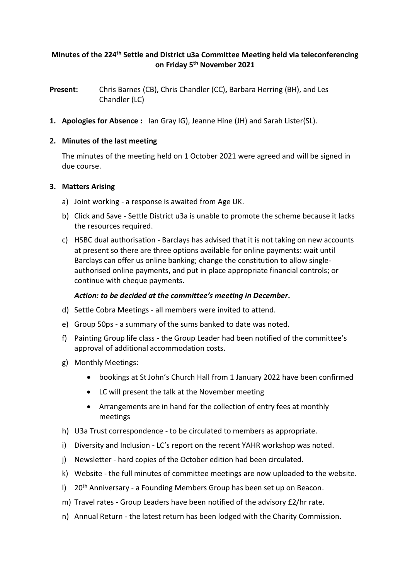# **Minutes of the 224 th Settle and District u3a Committee Meeting held via teleconferencing on Friday 5 th November 2021**

**Present:** Chris Barnes (CB), Chris Chandler (CC)**,** Barbara Herring (BH), and Les Chandler (LC)

**1. Apologies for Absence :** Ian Gray IG), Jeanne Hine (JH) and Sarah Lister(SL).

## **2. Minutes of the last meeting**

The minutes of the meeting held on 1 October 2021 were agreed and will be signed in due course.

## **3. Matters Arising**

- a) Joint working a response is awaited from Age UK.
- b) Click and Save Settle District u3a is unable to promote the scheme because it lacks the resources required.
- c) HSBC dual authorisation Barclays has advised that it is not taking on new accounts at present so there are three options available for online payments: wait until Barclays can offer us online banking; change the constitution to allow singleauthorised online payments, and put in place appropriate financial controls; or continue with cheque payments.

# *Action: to be decided at the committee's meeting in December.*

- d) Settle Cobra Meetings all members were invited to attend.
- e) Group 50ps a summary of the sums banked to date was noted.
- f) Painting Group life class the Group Leader had been notified of the committee's approval of additional accommodation costs.
- g) Monthly Meetings:
	- bookings at St John's Church Hall from 1 January 2022 have been confirmed
	- LC will present the talk at the November meeting
	- Arrangements are in hand for the collection of entry fees at monthly meetings
- h) U3a Trust correspondence to be circulated to members as appropriate.
- i) Diversity and Inclusion LC's report on the recent YAHR workshop was noted.
- j) Newsletter hard copies of the October edition had been circulated.
- k) Website the full minutes of committee meetings are now uploaded to the website.
- l) 20<sup>th</sup> Anniversary a Founding Members Group has been set up on Beacon.
- m) Travel rates Group Leaders have been notified of the advisory £2/hr rate.
- n) Annual Return the latest return has been lodged with the Charity Commission.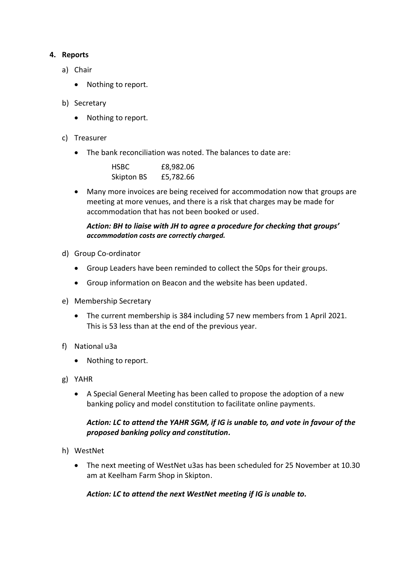## **4. Reports**

- a) Chair
	- Nothing to report.
- b) Secretary
	- Nothing to report.
- c) Treasurer
	- The bank reconciliation was noted. The balances to date are:

| <b>HSBC</b>       | £8,982.06 |
|-------------------|-----------|
| <b>Skipton BS</b> | £5,782.66 |

• Many more invoices are being received for accommodation now that groups are meeting at more venues, and there is a risk that charges may be made for accommodation that has not been booked or used.

## *Action: BH to liaise with JH to agree a procedure for checking that groups' accommodation costs are correctly charged.*

- d) Group Co-ordinator
	- Group Leaders have been reminded to collect the 50ps for their groups.
	- Group information on Beacon and the website has been updated.
- e) Membership Secretary
	- The current membership is 384 including 57 new members from 1 April 2021. This is 53 less than at the end of the previous year.
- f) National u3a
	- Nothing to report.
- g) YAHR
	- A Special General Meeting has been called to propose the adoption of a new banking policy and model constitution to facilitate online payments.

# *Action: LC to attend the YAHR SGM, if IG is unable to, and vote in favour of the proposed banking policy and constitution.*

- h) WestNet
	- The next meeting of WestNet u3as has been scheduled for 25 November at 10.30 am at Keelham Farm Shop in Skipton.

# *Action: LC to attend the next WestNet meeting if IG is unable to.*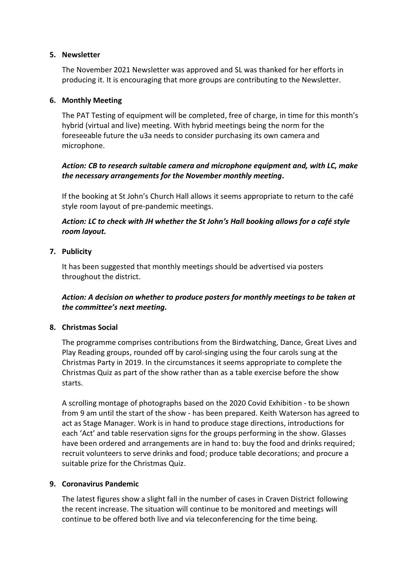### **5. Newsletter**

The November 2021 Newsletter was approved and SL was thanked for her efforts in producing it. It is encouraging that more groups are contributing to the Newsletter.

## **6. Monthly Meeting**

The PAT Testing of equipment will be completed, free of charge, in time for this month's hybrid (virtual and live) meeting. With hybrid meetings being the norm for the foreseeable future the u3a needs to consider purchasing its own camera and microphone.

# *Action: CB to research suitable camera and microphone equipment and, with LC, make the necessary arrangements for the November monthly meeting.*

If the booking at St John's Church Hall allows it seems appropriate to return to the café style room layout of pre-pandemic meetings.

# *Action: LC to check with JH whether the St John's Hall booking allows for a café style room layout.*

## **7. Publicity**

It has been suggested that monthly meetings should be advertised via posters throughout the district.

# *Action: A decision on whether to produce posters for monthly meetings to be taken at the committee's next meeting.*

#### **8. Christmas Social**

The programme comprises contributions from the Birdwatching, Dance, Great Lives and Play Reading groups, rounded off by carol-singing using the four carols sung at the Christmas Party in 2019. In the circumstances it seems appropriate to complete the Christmas Quiz as part of the show rather than as a table exercise before the show starts.

A scrolling montage of photographs based on the 2020 Covid Exhibition - to be shown from 9 am until the start of the show - has been prepared. Keith Waterson has agreed to act as Stage Manager. Work is in hand to produce stage directions, introductions for each 'Act' and table reservation signs for the groups performing in the show. Glasses have been ordered and arrangements are in hand to: buy the food and drinks required; recruit volunteers to serve drinks and food; produce table decorations; and procure a suitable prize for the Christmas Quiz.

# **9. Coronavirus Pandemic**

The latest figures show a slight fall in the number of cases in Craven District following the recent increase. The situation will continue to be monitored and meetings will continue to be offered both live and via teleconferencing for the time being.